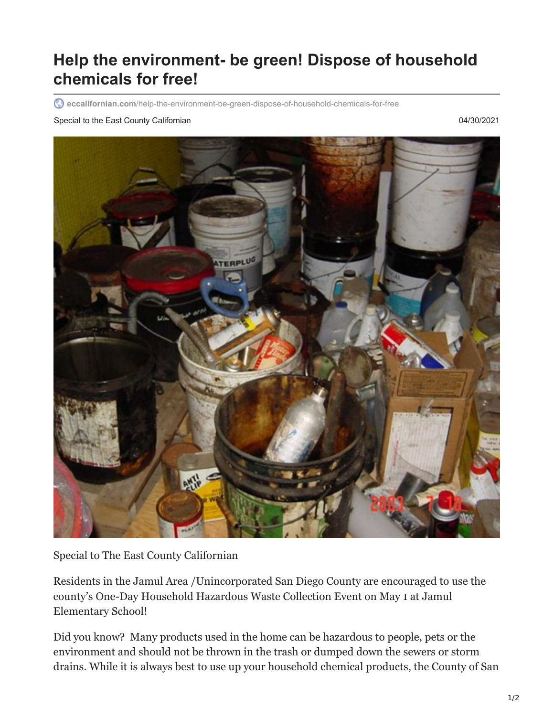## **Help the environment- be green! Dispose of household chemicals for free!**

**eccalifornian.com**[/help-the-environment-be-green-dispose-of-household-chemicals-for-free](https://eccalifornian.com/help-the-environment-be-green-dispose-of-household-chemicals-for-free/)

## Special to the East County Californian **County Californian CALIFOR COUNTY CONSUMING CONTRACT CONSUMING CONTRACT CONSUMING CONTRACT CONSUMING CONTRACT CONSUMING CONTRACT CONSUMING CONTRACT CONSUMING CONTRACT CONSUMING CON**



Special to The East County Californian

Residents in the Jamul Area /Unincorporated San Diego County are encouraged to use the county's One-Day Household Hazardous Waste Collection Event on May 1 at Jamul Elementary School!

Did you know? Many products used in the home can be hazardous to people, pets or the environment and should not be thrown in the trash or dumped down the sewers or storm drains. While it is always best to use up your household chemical products, the County of San